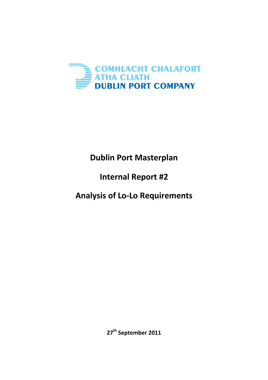

# **Dublin Port Masterplan**

## **Internal Report #2**

### **Analysis of Lo-Lo Requirements**

**27th September 2011**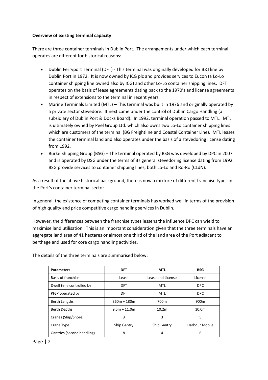#### **Overview of existing terminal capacity**

There are three container terminals in Dublin Port. The arrangements under which each terminal operates are different for historical reasons:

- Dublin Ferryport Terminal (DFT) This terminal was originally developed for B&I line by Dublin Port in 1972. It is now owned by ICG plc and provides services to Eucon (a Lo-Lo container shipping line owned also by ICG) and other Lo-Lo container shipping lines. DFT operates on the basis of lease agreements dating back to the 1970's and license agreements in respect of extensions to the terminal in recent years.
- Marine Terminals Limited (MTL) This terminal was built in 1976 and originally operated by a private sector stevedore. It next came under the control of Dublin Cargo Handling (a subsidiary of Dublin Port & Docks Board). In 1992, terminal operation passed to MTL. MTL is ultimately owned by Peel Group Ltd. which also owns two Lo-Lo container shipping lines which are customers of the terminal (BG Freightline and Coastal Container Line). MTL leases the container terminal land and also operates under the basis of a stevedoring license dating from 1992.
- Burke Shipping Group (BSG) The terminal operated by BSG was developed by DPC in 2007 and is operated by DSG under the terms of its general stevedoring license dating from 1992. BSG provide services to container shipping lines, both Lo-Lo and Ro-Ro (CLdN).

As a result of the above historical background, there is now a mixture of different franchise types in the Port's container terminal sector.

In general, the existence of competing container terminals has worked well in terms of the provision of high quality and price competitive cargo handling services in Dublin.

However, the differences between the franchise types lessens the influence DPC can wield to maximise land utilisation. This is an important consideration given that the three terminals have an aggregate land area of 41 hectares or almost one third of the land area of the Port adjacent to berthage and used for core cargo handling activities.

| <b>Parameters</b>          | <b>DFT</b>         | <b>MTL</b>        | <b>BSG</b>        |
|----------------------------|--------------------|-------------------|-------------------|
| Basis of franchise         | Lease              | Lease and License | License           |
| Dwell time controlled by   | DFT                | <b>MTL</b>        | <b>DPC</b>        |
| PFSP operated by           | DFT.               | MTL               | <b>DPC</b>        |
| Berth Lengths              | $360m + 180m$      | 700 <sub>m</sub>  | 900 <sub>m</sub>  |
| <b>Berth Depths</b>        | $9.5m + 11.0m$     | 10.2 <sub>m</sub> | 10.0 <sub>m</sub> |
| Cranes (Ship/Shore)        | 3                  | 3                 | 5                 |
| Crane Type                 | <b>Ship Gantry</b> | Ship Gantry       | Harbour Mobile    |
| Gantries (second handling) | 8                  | 4                 | 6                 |

The details of the three terminals are summarised below:

### Page | 2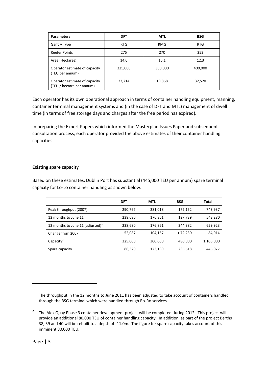| <b>Parameters</b>                                          | <b>DFT</b> | <b>MTL</b> | <b>BSG</b> |
|------------------------------------------------------------|------------|------------|------------|
| <b>Gantry Type</b>                                         | <b>RTG</b> | <b>RMG</b> | <b>RTG</b> |
| <b>Reefer Points</b>                                       | 275        | 270        | 252        |
| Area (Hectares)                                            | 14.0       | 15.1       | 12.3       |
| Operator estimate of capacity<br>(TEU per annum)           | 325,000    | 300,000    | 400,000    |
| Operator estimate of capacity<br>(TEU / hectare per annum) | 23,214     | 19,868     | 32,520     |

Each operator has its own operational approach in terms of container handling equipment, manning, container terminal management systems and (in the case of DFT and MTL) management of dwell time (in terms of free storage days and charges after the free period has expired).

In preparing the Expert Papers which informed the Masterplan Issues Paper and subsequent consultation process, each operator provided the above estimates of their container handling capacities.

#### **Existing spare capacity**

Based on these estimates, Dublin Port has substantial (445,000 TEU per annum) spare terminal capacity for Lo-Lo container handling as shown below.

|                                     | <b>DFT</b> | <b>MTL</b> | <b>BSG</b> | <b>Total</b> |
|-------------------------------------|------------|------------|------------|--------------|
| Peak throughput (2007)              | 290,767    | 281,018    | 172,152    | 743,937      |
| 12 months to June 11                | 238,680    | 176,861    | 127,739    | 543,280      |
| 12 months to June 11 (adjusted) $1$ | 238,680    | 176,861    | 244,382    | 659,923      |
| Change from 2007                    | - 52,087   | - 104,157  | $+72,230$  | - 84,014     |
| Capacity <sup>2</sup>               | 325,000    | 300,000    | 480,000    | 1,105,000    |
| Spare capacity                      | 86,320     | 123,139    | 235,618    | 445,077      |

-

<sup>&</sup>lt;sup>1</sup> The throughput in the 12 months to June 2011 has been adjusted to take account of containers handled through the BSG terminal which were handled through Ro-Ro services.

<sup>&</sup>lt;sup>2</sup> The Alex Quay Phase 3 container development project will be completed during 2012. This project will provide an additional 80,000 TEU of container handling capacity. In addition, as part of the project Berths 38, 39 and 40 will be rebuilt to a depth of -11.0m. The figure for spare capacity takes account of this imminent 80,000 TEU.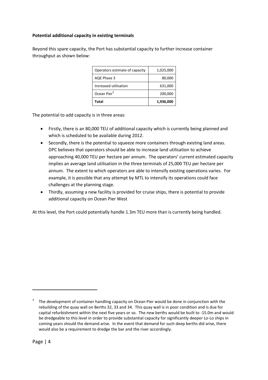### **Potential additional capacity in existing terminals**

Beyond this spare capacity, the Port has substantial capacity to further increase container throughput as shown below:

| Operators estimate of capacity | 1,025,000 |
|--------------------------------|-----------|
| AQE Phase 3                    | 80,000    |
| Increased utilisation          | 631,000   |
| Ocean Pier <sup>3</sup>        | 200,000   |
| <b>Total</b>                   | 1,936,000 |

The potential to add capacity is in three areas:

- Firstly, there is an 80,000 TEU of additional capacity which is currently being planned and which is scheduled to be available during 2012.
- Secondly, there is the potential to squeeze more containers through existing land areas. DPC believes that operators should be able to increase land utilisation to achieve approaching 40,000 TEU per hectare per annum. The operators' current estimated capacity implies an average land utilisation in the three terminals of 25,000 TEU per hectare per annum. The extent to which operators are able to intensify existing operations varies. For example, it is possible that any attempt by MTL to intensify its operations could face challenges at the planning stage.
- Thirdly, assuming a new facility is provided for cruise ships, there is potential to provide additional capacity on Ocean Pier West

At this level, the Port could potentially handle 1.3m TEU more than is currently being handled.

-

<sup>3</sup> The development of container handling capacity on Ocean Pier would be done in conjunction with the rebuilding of the quay wall on Berths 32, 33 and 34. This quay wall is in poor condition and is due for capital refurbishment within the next five years or so. The new berths would be built to -15.0m and would be dredgeable to this level in order to provide substantial capacity for significantly deeper Lo-Lo ships in coming years should the demand arise. In the event that demand for such deep berths did arise, there would also be a requirement to dredge the bar and the river accordingly.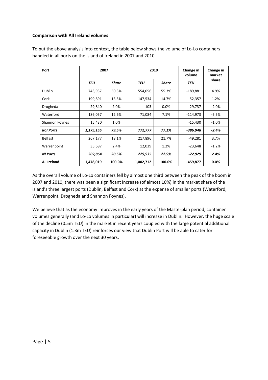#### **Comparison with All Ireland volumes**

| Port               | 2007      |        | 2010      |              | Change in<br>volume | Change in<br>market |
|--------------------|-----------|--------|-----------|--------------|---------------------|---------------------|
|                    | TEU       | Share  | TEU       | <b>Share</b> | TEU                 | share               |
| <b>Dublin</b>      | 743,937   | 50.3%  | 554,056   | 55.3%        | $-189,881$          | 4.9%                |
| Cork               | 199,891   | 13.5%  | 147,534   | 14.7%        | $-52,357$           | 1.2%                |
| Drogheda           | 29,840    | 2.0%   | 103       | $0.0\%$      | $-29,737$           | $-2.0%$             |
| Waterford          | 186,057   | 12.6%  | 71,084    | 7.1%         | $-114,973$          | $-5.5%$             |
| Shannon Foynes     | 15,430    | 1.0%   |           |              | $-15,430$           | $-1.0%$             |
| <b>Rol Ports</b>   | 1,175,155 | 79.5%  | 772,777   | 77.1%        | -386,948            | $-2.4%$             |
| <b>Belfast</b>     | 267,177   | 18.1%  | 217,896   | 21.7%        | $-49,281$           | 3.7%                |
| Warrenpoint        | 35,687    | 2.4%   | 12,039    | 1.2%         | $-23,648$           | $-1.2%$             |
| <b>NI Ports</b>    | 302,864   | 20.5%  | 229,935   | 22.9%        | -72,929             | 2.4%                |
| <b>All Ireland</b> | 1,478,019 | 100.0% | 1,002,712 | 100.0%       | -459,877            | $0.0\%$             |

To put the above analysis into context, the table below shows the volume of Lo-Lo containers handled in all ports on the island of Ireland in 2007 and 2010.

As the overall volume of Lo-Lo containers fell by almost one third between the peak of the boom in 2007 and 2010, there was been a significant increase (of almost 10%) in the market share of the island's three largest ports (Dublin, Belfast and Cork) at the expense of smaller ports (Waterford, Warrenpoint, Drogheda and Shannon Foynes).

We believe that as the economy improves in the early years of the Masterplan period, container volumes generally (and Lo-Lo volumes in particular) will increase in Dublin. However, the huge scale of the decline (0.5m TEU) in the market in recent years coupled with the large potential additional capacity in Dublin (1.3m TEU) reinforces our view that Dublin Port will be able to cater for foreseeable growth over the next 30 years.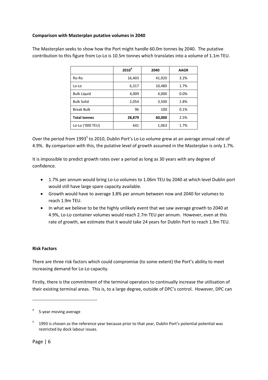### **Comparison with Masterplan putative volumes in 2040**

|                     | 2010 <sup>4</sup><br>2040 |        | <b>AAGR</b> |  |
|---------------------|---------------------------|--------|-------------|--|
| Ro-Ro               | 16,403                    | 41,920 | 3.2%        |  |
| $Lo-Lo$             | 6,317                     | 10,480 | 1.7%        |  |
| <b>Bulk Liquid</b>  | 4,009                     | 4,000  | 0.0%        |  |
| <b>Bulk Solid</b>   | 2,054                     | 3,500  | 1.8%        |  |
| <b>Break Bulk</b>   | 96                        | 100    | 0.1%        |  |
| <b>Total tonnes</b> | 28,879                    | 60,000 | 2.5%        |  |
| Lo-Lo ('000 TEU)    | 641                       | 1,063  | 1.7%        |  |

The Masterplan seeks to show how the Port might handle 60.0m tonnes by 2040. The putative contribution to this figure from Lo-Lo is 10.5m tonnes which translates into a volume of 1.1m TEU.

Over the period from 1993<sup>5</sup> to 2010, Dublin Port's Lo-Lo volume grew at an average annual rate of 4.9%. By comparison with this, the putative level of growth assumed in the Masterplan is only 1.7%.

It is impossible to predict growth rates over a period as long as 30 years with any degree of confidence.

- 1.7% per annum would bring Lo-Lo volumes to 1.06m TEU by 2040 at which level Dublin port would still have large spare capacity available.
- Growth would have to average 3.8% per annum between now and 2040 for volumes to reach 1.9m TEU.
- In what we believe to be the highly unlikely event that we saw average growth to 2040 at 4.9%, Lo-Lo container volumes would reach 2.7m TEU per annum. However, even at this rate of growth, we estimate that it would take 24 years for Dublin Port to reach 1.9m TEU.

### **Risk Factors**

There are three risk factors which could compromise (to some extent) the Port's ability to meet increasing demand for Lo-Lo capacity.

Firstly, there is the commitment of the terminal operators to continually increase the utilisation of their existing terminal areas. This is, to a large degree, outside of DPC's control. However, DPC can

-

<sup>4</sup> 5-year moving average

<sup>5</sup> 1993 is chosen as the reference year because prior to that year, Dublin Port's potential potential was restricted by dock labour issues.